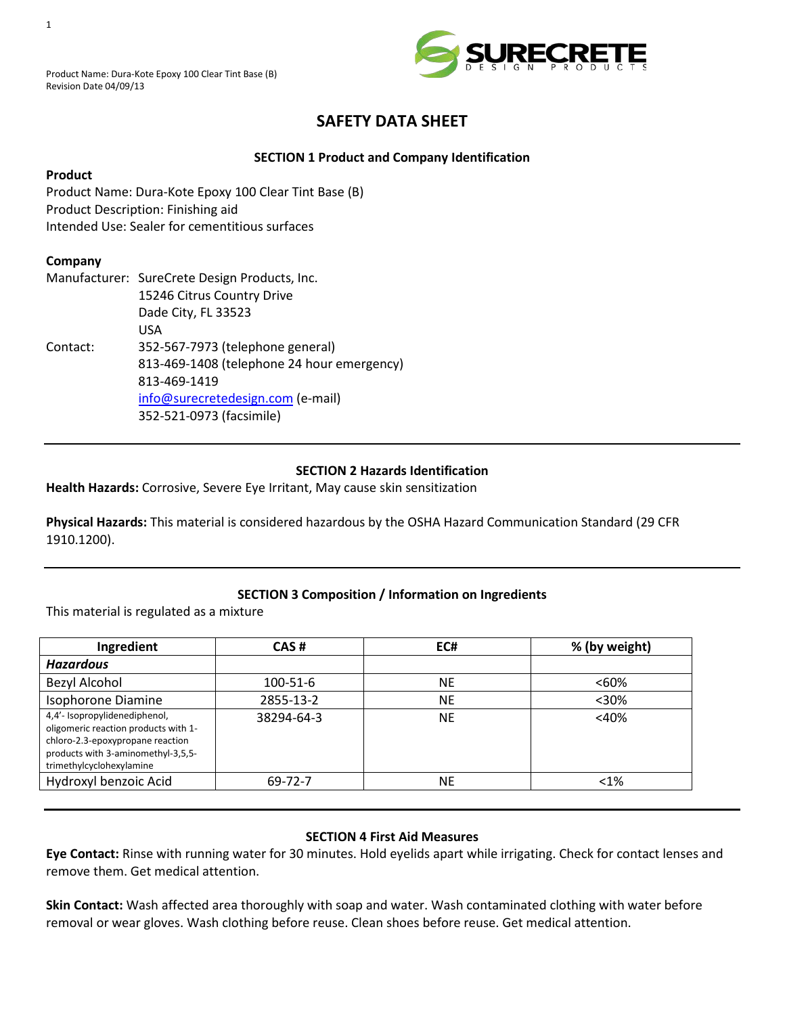

# **SAFETY DATA SHEET**

# **SECTION 1 Product and Company Identification**

# **Product**

Product Name: Dura-Kote Epoxy 100 Clear Tint Base (B) Product Description: Finishing aid Intended Use: Sealer for cementitious surfaces

# **Company**

|          | Manufacturer: SureCrete Design Products, Inc. |  |  |
|----------|-----------------------------------------------|--|--|
|          | 15246 Citrus Country Drive                    |  |  |
|          | Dade City, FL 33523                           |  |  |
|          | USA                                           |  |  |
| Contact: | 352-567-7973 (telephone general)              |  |  |
|          | 813-469-1408 (telephone 24 hour emergency)    |  |  |
|          | 813-469-1419                                  |  |  |
|          | info@surecretedesign.com (e-mail)             |  |  |
|          | 352-521-0973 (facsimile)                      |  |  |

# **SECTION 2 Hazards Identification**

**Health Hazards:** Corrosive, Severe Eye Irritant, May cause skin sensitization

**Physical Hazards:** This material is considered hazardous by the OSHA Hazard Communication Standard (29 CFR 1910.1200).

# **SECTION 3 Composition / Information on Ingredients**

This material is regulated as a mixture

| Ingredient                                                                                                                                                                  | CAS#       | EC#       | % (by weight) |
|-----------------------------------------------------------------------------------------------------------------------------------------------------------------------------|------------|-----------|---------------|
| <b>Hazardous</b>                                                                                                                                                            |            |           |               |
| Bezyl Alcohol                                                                                                                                                               | 100-51-6   | <b>NE</b> | $< 60\%$      |
| Isophorone Diamine                                                                                                                                                          | 2855-13-2  | <b>NE</b> | $30%$         |
| 4,4'- Isopropylidenediphenol,<br>oligomeric reaction products with 1-<br>chloro-2.3-epoxypropane reaction<br>products with 3-aminomethyl-3,5,5-<br>trimethylcyclohexylamine | 38294-64-3 | <b>NE</b> | $<$ 40%       |
| Hydroxyl benzoic Acid                                                                                                                                                       | 69-72-7    | <b>NE</b> | $< 1\%$       |

# **SECTION 4 First Aid Measures**

**Eye Contact:** Rinse with running water for 30 minutes. Hold eyelids apart while irrigating. Check for contact lenses and remove them. Get medical attention.

**Skin Contact:** Wash affected area thoroughly with soap and water. Wash contaminated clothing with water before removal or wear gloves. Wash clothing before reuse. Clean shoes before reuse. Get medical attention.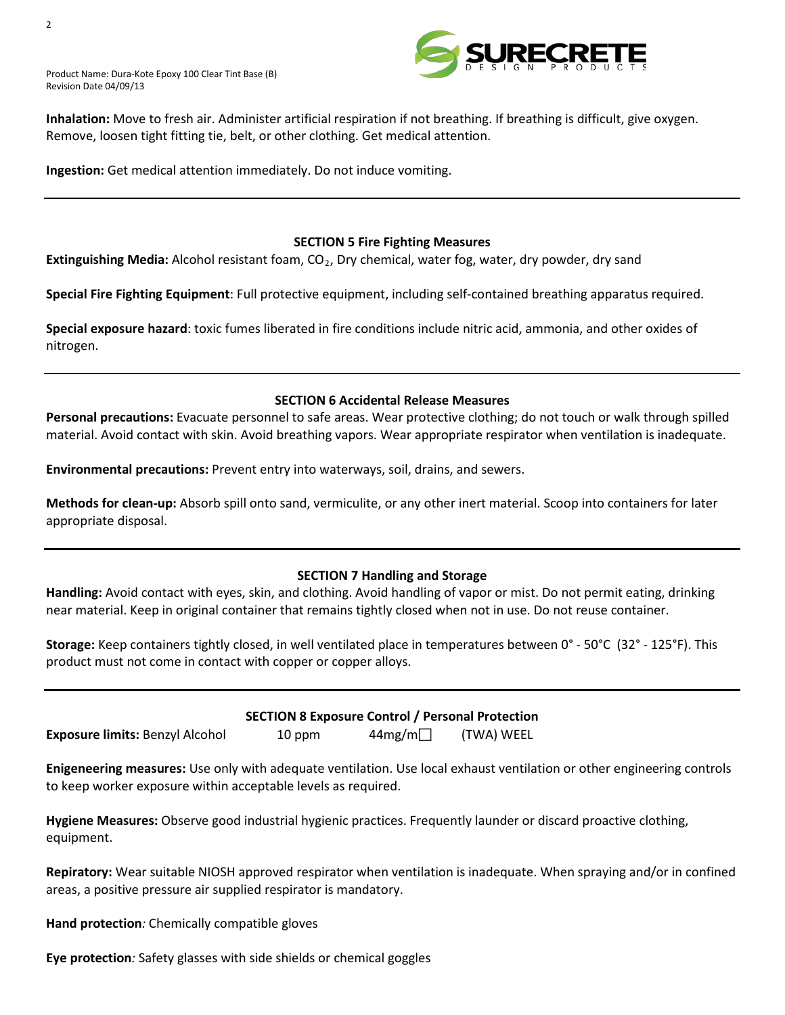Product Name: Dura-Kote Epoxy 100 Clear Tint Base (B) Revision Date 04/09/13



**Inhalation:** Move to fresh air. Administer artificial respiration if not breathing. If breathing is difficult, give oxygen. Remove, loosen tight fitting tie, belt, or other clothing. Get medical attention.

**Ingestion:** Get medical attention immediately. Do not induce vomiting.

#### **SECTION 5 Fire Fighting Measures**

**Extinguishing Media:** Alcohol resistant foam, CO<sub>2</sub>, Dry chemical, water fog, water, dry powder, dry sand

**Special Fire Fighting Equipment**: Full protective equipment, including self-contained breathing apparatus required.

**Special exposure hazard**: toxic fumes liberated in fire conditions include nitric acid, ammonia, and other oxides of nitrogen.

#### **SECTION 6 Accidental Release Measures**

**Personal precautions:** Evacuate personnel to safe areas. Wear protective clothing; do not touch or walk through spilled material. Avoid contact with skin. Avoid breathing vapors. Wear appropriate respirator when ventilation is inadequate.

**Environmental precautions:** Prevent entry into waterways, soil, drains, and sewers.

**Methods for clean-up:** Absorb spill onto sand, vermiculite, or any other inert material. Scoop into containers for later appropriate disposal.

# **SECTION 7 Handling and Storage**

**Handling:** Avoid contact with eyes, skin, and clothing. Avoid handling of vapor or mist. Do not permit eating, drinking near material. Keep in original container that remains tightly closed when not in use. Do not reuse container.

**Storage:** Keep containers tightly closed, in well ventilated place in temperatures between 0° - 50°C (32° - 125°F). This product must not come in contact with copper or copper alloys.

| <b>Exposure limits: Benzyl Alcohol</b> |  |  |
|----------------------------------------|--|--|
|                                        |  |  |

# **SECTION 8 Exposure Control / Personal Protection**

 $10$  ppm  $44$ mg/m (TWA) WEEL

**Enigeneering measures:** Use only with adequate ventilation. Use local exhaust ventilation or other engineering controls to keep worker exposure within acceptable levels as required.

**Hygiene Measures:** Observe good industrial hygienic practices. Frequently launder or discard proactive clothing, equipment.

**Repiratory:** Wear suitable NIOSH approved respirator when ventilation is inadequate. When spraying and/or in confined areas, a positive pressure air supplied respirator is mandatory.

**Hand protection***:* Chemically compatible gloves

**Eye protection***:* Safety glasses with side shields or chemical goggles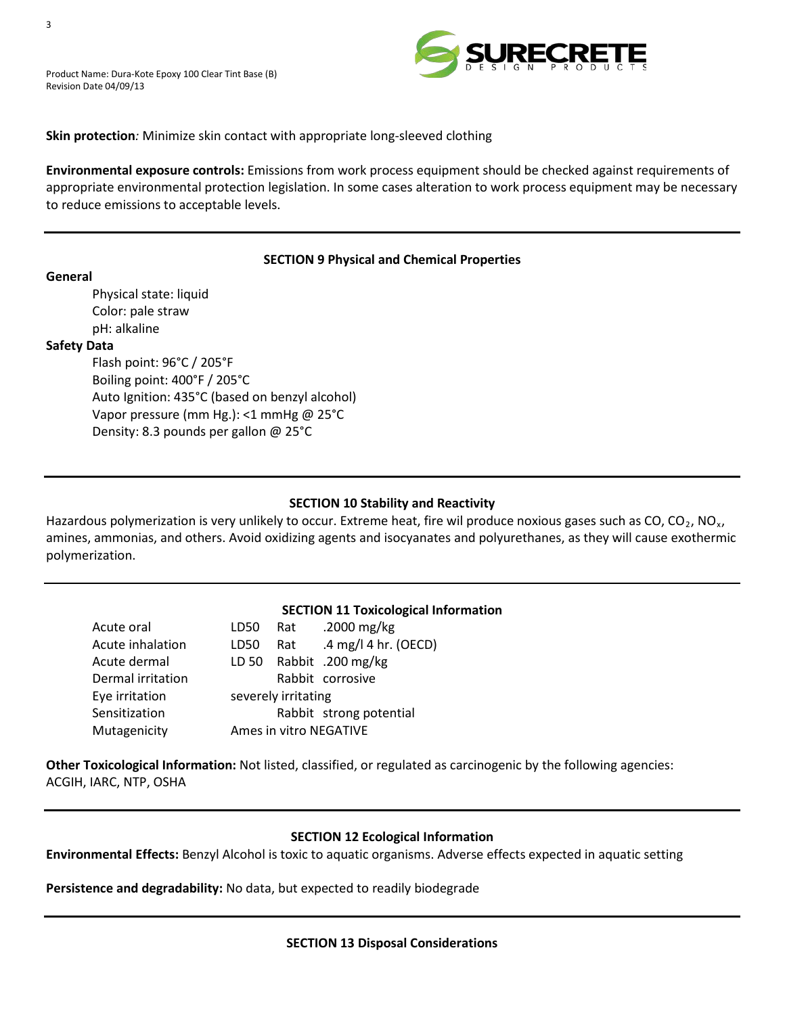

# **Skin protection***:* Minimize skin contact with appropriate long-sleeved clothing

**Environmental exposure controls:** Emissions from work process equipment should be checked against requirements of appropriate environmental protection legislation. In some cases alteration to work process equipment may be necessary to reduce emissions to acceptable levels.

# **SECTION 9 Physical and Chemical Properties**

**General** Physical state: liquid Color: pale straw pH: alkaline

#### **Safety Data**

Flash point: 96°C / 205°F Boiling point: 400°F / 205°C Auto Ignition: 435°C (based on benzyl alcohol) Vapor pressure (mm Hg.): <1 mmHg @ 25°C Density: 8.3 pounds per gallon @ 25°C

# **SECTION 10 Stability and Reactivity**

Hazardous polymerization is very unlikely to occur. Extreme heat, fire wil produce noxious gases such as CO, CO<sub>2</sub>, NO<sub>x</sub>, amines, ammonias, and others. Avoid oxidizing agents and isocyanates and polyurethanes, as they will cause exothermic polymerization.

# **SECTION 11 Toxicological Information**

| Acute oral        |      |                     | LD50 Rat .2000 mg/kg    |
|-------------------|------|---------------------|-------------------------|
| Acute inhalation  | LD50 | Rat                 | .4 mg/l 4 hr. (OECD)    |
| Acute dermal      |      |                     | LD 50 Rabbit .200 mg/kg |
| Dermal irritation |      |                     | Rabbit corrosive        |
| Eye irritation    |      | severely irritating |                         |
| Sensitization     |      |                     | Rabbit strong potential |
| Mutagenicity      |      |                     | Ames in vitro NEGATIVE  |
|                   |      |                     |                         |

**Other Toxicological Information:** Not listed, classified, or regulated as carcinogenic by the following agencies: ACGIH, IARC, NTP, OSHA

# **SECTION 12 Ecological Information**

**Environmental Effects:** Benzyl Alcohol is toxic to aquatic organisms. Adverse effects expected in aquatic setting

**Persistence and degradability:** No data, but expected to readily biodegrade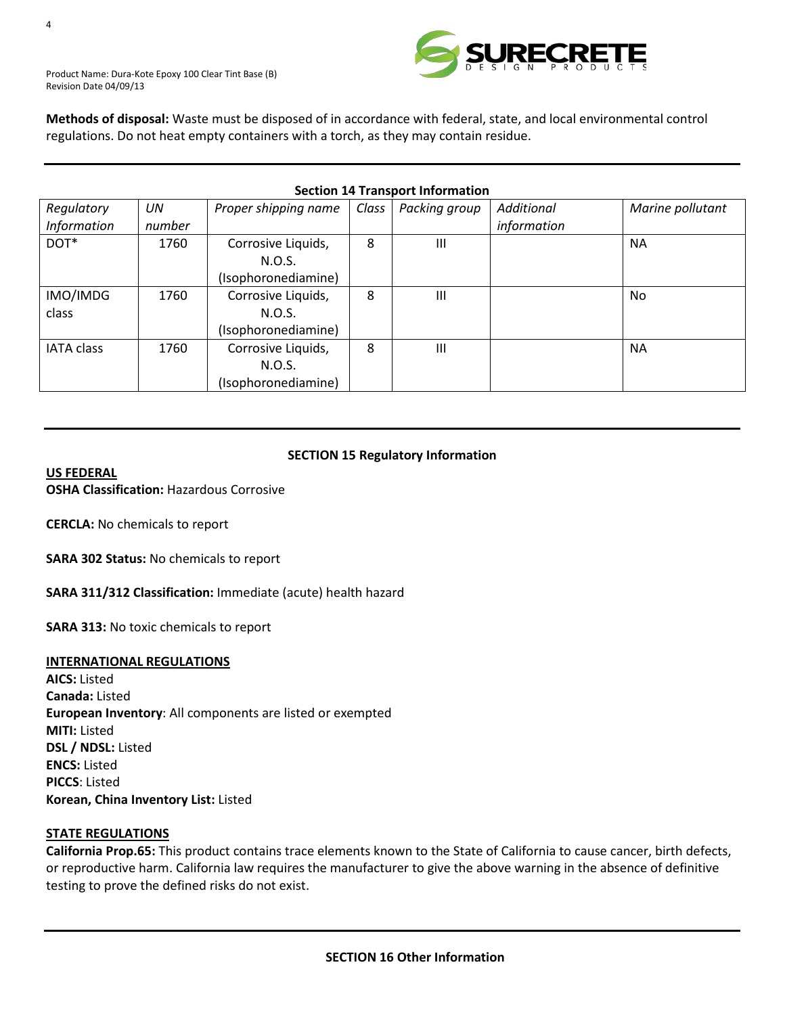

Product Name: Dura-Kote Epoxy 100 Clear Tint Base (B) Revision Date 04/09/13

**Methods of disposal:** Waste must be disposed of in accordance with federal, state, and local environmental control regulations. Do not heat empty containers with a torch, as they may contain residue.

| <b>Section 14 Transport Information</b> |           |                      |       |               |             |                  |
|-----------------------------------------|-----------|----------------------|-------|---------------|-------------|------------------|
| Regulatory                              | <b>UN</b> | Proper shipping name | Class | Packing group | Additional  | Marine pollutant |
| <b>Information</b>                      | number    |                      |       |               | information |                  |
| DOT*                                    | 1760      | Corrosive Liquids,   | 8     | Ш             |             | <b>NA</b>        |
|                                         |           | N.O.S.               |       |               |             |                  |
|                                         |           | (Isophoronediamine)  |       |               |             |                  |
| IMO/IMDG                                | 1760      | Corrosive Liquids,   | 8     | III           |             | No.              |
| class                                   |           | N.O.S.               |       |               |             |                  |
|                                         |           | (Isophoronediamine)  |       |               |             |                  |
| <b>IATA class</b>                       | 1760      | Corrosive Liquids,   | 8     | Ш             |             | <b>NA</b>        |
|                                         |           | N.O.S.               |       |               |             |                  |
|                                         |           | (Isophoronediamine)  |       |               |             |                  |

# **SECTION 15 Regulatory Information**

#### *<sup>U</sup>***US FEDERAL**

**OSHA Classification:** Hazardous Corrosive

**CERCLA:** No chemicals to report

**SARA 302 Status:** No chemicals to report

**SARA 311/312 Classification:** Immediate (acute) health hazard

**SARA 313:** No toxic chemicals to report

#### *<sup>U</sup>***INTERNATIONAL REGULATIONS**

**AICS:** Listed **Canada:** Listed **European Inventory**: All components are listed or exempted **MITI:** Listed **DSL / NDSL:** Listed **ENCS:** Listed **PICCS**: Listed **Korean, China Inventory List:** Listed

#### **STATE REGULATIONS**

**California Prop.65:** This product contains trace elements known to the State of California to cause cancer, birth defects, or reproductive harm. California law requires the manufacturer to give the above warning in the absence of definitive testing to prove the defined risks do not exist.